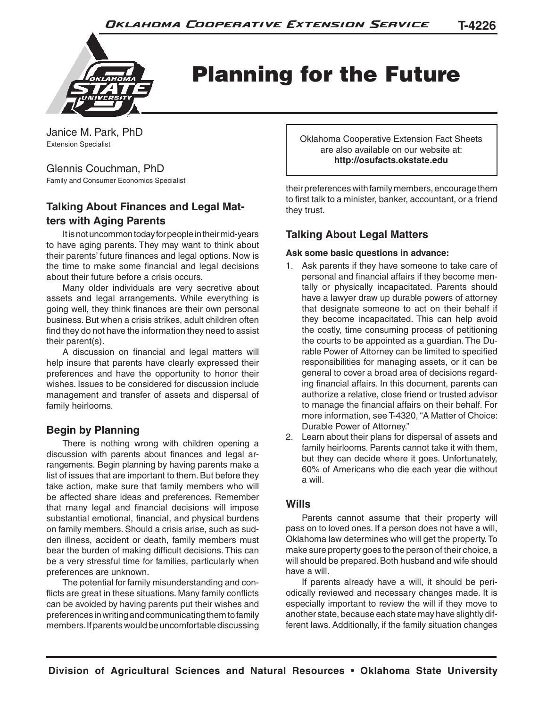

Planning for the Future

Janice M. Park, PhD Extension Specialist

#### Glennis Couchman, PhD

Family and Consumer Economics Specialist

# **Talking About Finances and Legal Matters with Aging Parents**

It is not uncommon today for people in their mid-years to have aging parents. They may want to think about their parents' future finances and legal options. Now is the time to make some financial and legal decisions about their future before a crisis occurs.

Many older individuals are very secretive about assets and legal arrangements. While everything is going well, they think finances are their own personal business. But when a crisis strikes, adult children often find they do not have the information they need to assist their parent(s).

A discussion on financial and legal matters will help insure that parents have clearly expressed their preferences and have the opportunity to honor their wishes. Issues to be considered for discussion include management and transfer of assets and dispersal of family heirlooms.

# **Begin by Planning**

There is nothing wrong with children opening a discussion with parents about finances and legal arrangements. Begin planning by having parents make a list of issues that are important to them. But before they take action, make sure that family members who will be affected share ideas and preferences. Remember that many legal and financial decisions will impose substantial emotional, financial, and physical burdens on family members. Should a crisis arise, such as sudden illness, accident or death, family members must bear the burden of making difficult decisions. This can be a very stressful time for families, particularly when preferences are unknown.

The potential for family misunderstanding and conflicts are great in these situations. Many family conflicts can be avoided by having parents put their wishes and preferences in writing and communicating them to family members. If parents would be uncomfortable discussing Oklahoma Cooperative Extension Fact Sheets are also available on our website at: **http://osufacts.okstate.edu**

their preferences with family members, encourage them to first talk to a minister, banker, accountant, or a friend they trust.

## **Talking About Legal Matters**

#### **Ask some basic questions in advance:**

- 1. Ask parents if they have someone to take care of personal and financial affairs if they become mentally or physically incapacitated. Parents should have a lawyer draw up durable powers of attorney that designate someone to act on their behalf if they become incapacitated. This can help avoid the costly, time consuming process of petitioning the courts to be appointed as a guardian. The Durable Power of Attorney can be limited to specified responsibilities for managing assets, or it can be general to cover a broad area of decisions regarding financial affairs. In this document, parents can authorize a relative, close friend or trusted advisor to manage the financial affairs on their behalf. For more information, see T-4320, "A Matter of Choice: Durable Power of Attorney."
- 2. Learn about their plans for dispersal of assets and family heirlooms. Parents cannot take it with them, but they can decide where it goes. Unfortunately, 60% of Americans who die each year die without a will.

## **Wills**

Parents cannot assume that their property will pass on to loved ones. If a person does not have a will, Oklahoma law determines who will get the property. To make sure property goes to the person of their choice, a will should be prepared. Both husband and wife should have a will.

If parents already have a will, it should be periodically reviewed and necessary changes made. It is especially important to review the will if they move to another state, because each state may have slightly different laws. Additionally, if the family situation changes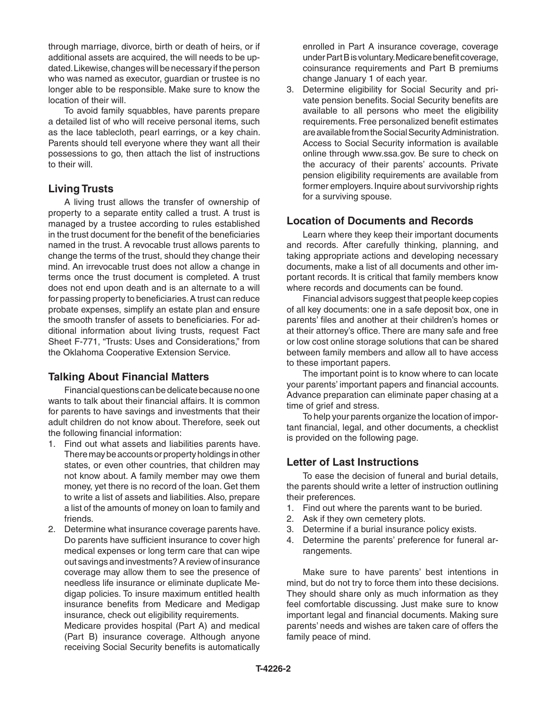through marriage, divorce, birth or death of heirs, or if additional assets are acquired, the will needs to be updated. Likewise, changes will be necessary if the person who was named as executor, guardian or trustee is no longer able to be responsible. Make sure to know the location of their will.

To avoid family squabbles, have parents prepare a detailed list of who will receive personal items, such as the lace tablecloth, pearl earrings, or a key chain. Parents should tell everyone where they want all their possessions to go, then attach the list of instructions to their will.

#### **Living Trusts**

A living trust allows the transfer of ownership of property to a separate entity called a trust. A trust is managed by a trustee according to rules established in the trust document for the benefit of the beneficiaries named in the trust. A revocable trust allows parents to change the terms of the trust, should they change their mind. An irrevocable trust does not allow a change in terms once the trust document is completed. A trust does not end upon death and is an alternate to a will for passing property to beneficiaries. A trust can reduce probate expenses, simplify an estate plan and ensure the smooth transfer of assets to beneficiaries. For additional information about living trusts, request Fact Sheet F-771, "Trusts: Uses and Considerations," from the Oklahoma Cooperative Extension Service.

### **Talking About Financial Matters**

Financial questions can be delicate because no one wants to talk about their financial affairs. It is common for parents to have savings and investments that their adult children do not know about. Therefore, seek out the following financial information:

- 1. Find out what assets and liabilities parents have. There may be accounts or property holdings in other states, or even other countries, that children may not know about. A family member may owe them money, yet there is no record of the loan. Get them to write a list of assets and liabilities. Also, prepare a list of the amounts of money on loan to family and friends.
- 2. Determine what insurance coverage parents have. Do parents have sufficient insurance to cover high medical expenses or long term care that can wipe out savings and investments? A review of insurance coverage may allow them to see the presence of needless life insurance or eliminate duplicate Medigap policies. To insure maximum entitled health insurance benefits from Medicare and Medigap insurance, check out eligibility requirements.

 Medicare provides hospital (Part A) and medical (Part B) insurance coverage. Although anyone receiving Social Security benefits is automatically

enrolled in Part A insurance coverage, coverage under Part B is voluntary. Medicare benefit coverage, coinsurance requirements and Part B premiums change January 1 of each year.

3. Determine eligibility for Social Security and private pension benefits. Social Security benefits are available to all persons who meet the eligibility requirements. Free personalized benefit estimates are available from the Social Security Administration. Access to Social Security information is available online through www.ssa.gov. Be sure to check on the accuracy of their parents' accounts. Private pension eligibility requirements are available from former employers. Inquire about survivorship rights for a surviving spouse.

#### **Location of Documents and Records**

Learn where they keep their important documents and records. After carefully thinking, planning, and taking appropriate actions and developing necessary documents, make a list of all documents and other important records. It is critical that family members know where records and documents can be found.

Financial advisors suggest that people keep copies of all key documents: one in a safe deposit box, one in parents' files and another at their children's homes or at their attorney's office. There are many safe and free or low cost online storage solutions that can be shared between family members and allow all to have access to these important papers.

The important point is to know where to can locate your parents' important papers and financial accounts. Advance preparation can eliminate paper chasing at a time of grief and stress.

To help your parents organize the location of important financial, legal, and other documents, a checklist is provided on the following page.

### **Letter of Last Instructions**

To ease the decision of funeral and burial details, the parents should write a letter of instruction outlining their preferences.

- 1. Find out where the parents want to be buried.
- 2. Ask if they own cemetery plots.
- 3. Determine if a burial insurance policy exists.
- 4. Determine the parents' preference for funeral arrangements.

Make sure to have parents' best intentions in mind, but do not try to force them into these decisions. They should share only as much information as they feel comfortable discussing. Just make sure to know important legal and financial documents. Making sure parents' needs and wishes are taken care of offers the family peace of mind.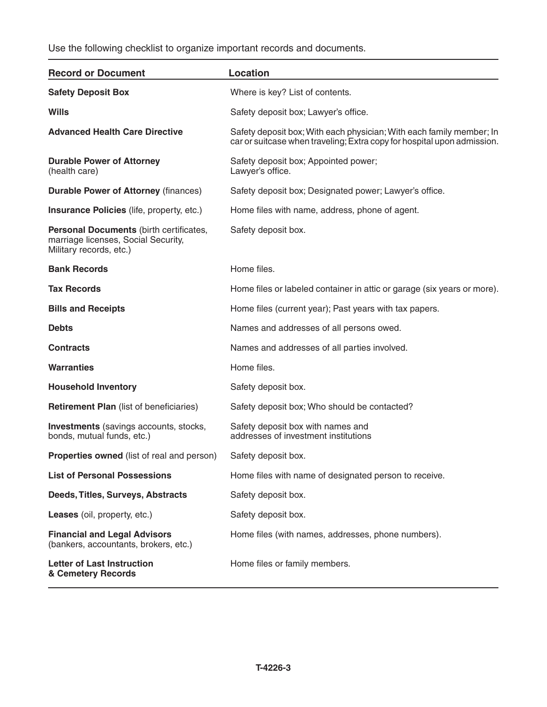Use the following checklist to organize important records and documents.

| <b>Record or Document</b>                                                                                 | <b>Location</b>                                                                                                                                 |
|-----------------------------------------------------------------------------------------------------------|-------------------------------------------------------------------------------------------------------------------------------------------------|
| <b>Safety Deposit Box</b>                                                                                 | Where is key? List of contents.                                                                                                                 |
| <b>Wills</b>                                                                                              | Safety deposit box; Lawyer's office.                                                                                                            |
| <b>Advanced Health Care Directive</b>                                                                     | Safety deposit box; With each physician; With each family member; In<br>car or suitcase when traveling; Extra copy for hospital upon admission. |
| <b>Durable Power of Attorney</b><br>(health care)                                                         | Safety deposit box; Appointed power;<br>Lawyer's office.                                                                                        |
| <b>Durable Power of Attorney (finances)</b>                                                               | Safety deposit box; Designated power; Lawyer's office.                                                                                          |
| <b>Insurance Policies</b> (life, property, etc.)                                                          | Home files with name, address, phone of agent.                                                                                                  |
| Personal Documents (birth certificates,<br>marriage licenses, Social Security,<br>Military records, etc.) | Safety deposit box.                                                                                                                             |
| <b>Bank Records</b>                                                                                       | Home files.                                                                                                                                     |
| <b>Tax Records</b>                                                                                        | Home files or labeled container in attic or garage (six years or more).                                                                         |
| <b>Bills and Receipts</b>                                                                                 | Home files (current year); Past years with tax papers.                                                                                          |
| <b>Debts</b>                                                                                              | Names and addresses of all persons owed.                                                                                                        |
| <b>Contracts</b>                                                                                          | Names and addresses of all parties involved.                                                                                                    |
| <b>Warranties</b>                                                                                         | Home files.                                                                                                                                     |
| <b>Household Inventory</b>                                                                                | Safety deposit box.                                                                                                                             |
| <b>Retirement Plan (list of beneficiaries)</b>                                                            | Safety deposit box; Who should be contacted?                                                                                                    |
| <b>Investments</b> (savings accounts, stocks,<br>bonds, mutual funds, etc.)                               | Safety deposit box with names and<br>addresses of investment institutions                                                                       |
| <b>Properties owned</b> (list of real and person)                                                         | Safety deposit box.                                                                                                                             |
| <b>List of Personal Possessions</b>                                                                       | Home files with name of designated person to receive.                                                                                           |
| Deeds, Titles, Surveys, Abstracts                                                                         | Safety deposit box.                                                                                                                             |
| Leases (oil, property, etc.)                                                                              | Safety deposit box.                                                                                                                             |
| <b>Financial and Legal Advisors</b><br>(bankers, accountants, brokers, etc.)                              | Home files (with names, addresses, phone numbers).                                                                                              |
| <b>Letter of Last Instruction</b><br>& Cemetery Records                                                   | Home files or family members.                                                                                                                   |